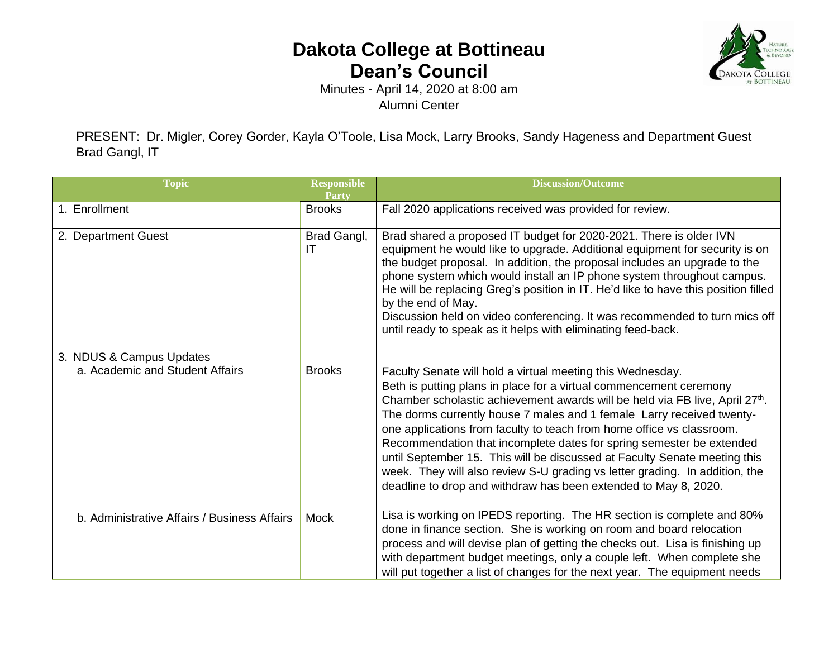## **Dakota College at Bottineau Dean's Council**



Minutes - April 14, 2020 at 8:00 am Alumni Center

PRESENT: Dr. Migler, Corey Gorder, Kayla O'Toole, Lisa Mock, Larry Brooks, Sandy Hageness and Department Guest Brad Gangl, IT

| <b>Topic</b>                                                | <b>Responsible</b><br><b>Party</b> | <b>Discussion/Outcome</b>                                                                                                                                                                                                                                                                                                                                                                                                                                                                                                                                                                                                                                                |
|-------------------------------------------------------------|------------------------------------|--------------------------------------------------------------------------------------------------------------------------------------------------------------------------------------------------------------------------------------------------------------------------------------------------------------------------------------------------------------------------------------------------------------------------------------------------------------------------------------------------------------------------------------------------------------------------------------------------------------------------------------------------------------------------|
| 1. Enrollment                                               | <b>Brooks</b>                      | Fall 2020 applications received was provided for review.                                                                                                                                                                                                                                                                                                                                                                                                                                                                                                                                                                                                                 |
| 2. Department Guest                                         | Brad Gangl,<br>IT                  | Brad shared a proposed IT budget for 2020-2021. There is older IVN<br>equipment he would like to upgrade. Additional equipment for security is on<br>the budget proposal. In addition, the proposal includes an upgrade to the<br>phone system which would install an IP phone system throughout campus.<br>He will be replacing Greg's position in IT. He'd like to have this position filled<br>by the end of May.<br>Discussion held on video conferencing. It was recommended to turn mics off<br>until ready to speak as it helps with eliminating feed-back.                                                                                                       |
| 3. NDUS & Campus Updates<br>a. Academic and Student Affairs | <b>Brooks</b>                      | Faculty Senate will hold a virtual meeting this Wednesday.<br>Beth is putting plans in place for a virtual commencement ceremony<br>Chamber scholastic achievement awards will be held via FB live, April 27th.<br>The dorms currently house 7 males and 1 female Larry received twenty-<br>one applications from faculty to teach from home office vs classroom.<br>Recommendation that incomplete dates for spring semester be extended<br>until September 15. This will be discussed at Faculty Senate meeting this<br>week. They will also review S-U grading vs letter grading. In addition, the<br>deadline to drop and withdraw has been extended to May 8, 2020. |
| b. Administrative Affairs / Business Affairs                | Mock                               | Lisa is working on IPEDS reporting. The HR section is complete and 80%<br>done in finance section. She is working on room and board relocation<br>process and will devise plan of getting the checks out. Lisa is finishing up<br>with department budget meetings, only a couple left. When complete she<br>will put together a list of changes for the next year. The equipment needs                                                                                                                                                                                                                                                                                   |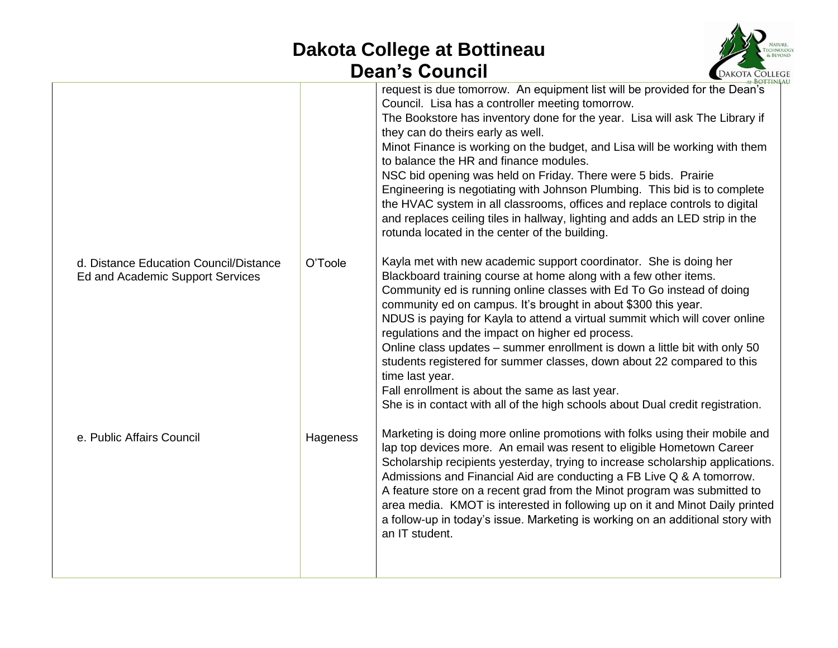## **Dakota College at Bottineau Dean's Council**



|                                                                            |          | <b>BOTTINE</b>                                                                                                                                                                                                                                                                                                                                                                                                                                                                                                                                                                                                                                                                                                                            |
|----------------------------------------------------------------------------|----------|-------------------------------------------------------------------------------------------------------------------------------------------------------------------------------------------------------------------------------------------------------------------------------------------------------------------------------------------------------------------------------------------------------------------------------------------------------------------------------------------------------------------------------------------------------------------------------------------------------------------------------------------------------------------------------------------------------------------------------------------|
|                                                                            |          | request is due tomorrow. An equipment list will be provided for the Dean's<br>Council. Lisa has a controller meeting tomorrow.<br>The Bookstore has inventory done for the year. Lisa will ask The Library if<br>they can do theirs early as well.<br>Minot Finance is working on the budget, and Lisa will be working with them<br>to balance the HR and finance modules.<br>NSC bid opening was held on Friday. There were 5 bids. Prairie<br>Engineering is negotiating with Johnson Plumbing. This bid is to complete<br>the HVAC system in all classrooms, offices and replace controls to digital<br>and replaces ceiling tiles in hallway, lighting and adds an LED strip in the<br>rotunda located in the center of the building. |
| d. Distance Education Council/Distance<br>Ed and Academic Support Services | O'Toole  | Kayla met with new academic support coordinator. She is doing her<br>Blackboard training course at home along with a few other items.<br>Community ed is running online classes with Ed To Go instead of doing<br>community ed on campus. It's brought in about \$300 this year.<br>NDUS is paying for Kayla to attend a virtual summit which will cover online<br>regulations and the impact on higher ed process.<br>Online class updates - summer enrollment is down a little bit with only 50<br>students registered for summer classes, down about 22 compared to this<br>time last year.<br>Fall enrollment is about the same as last year.<br>She is in contact with all of the high schools about Dual credit registration.       |
| e. Public Affairs Council                                                  | Hageness | Marketing is doing more online promotions with folks using their mobile and<br>lap top devices more. An email was resent to eligible Hometown Career<br>Scholarship recipients yesterday, trying to increase scholarship applications.<br>Admissions and Financial Aid are conducting a FB Live Q & A tomorrow.<br>A feature store on a recent grad from the Minot program was submitted to<br>area media. KMOT is interested in following up on it and Minot Daily printed<br>a follow-up in today's issue. Marketing is working on an additional story with<br>an IT student.                                                                                                                                                           |